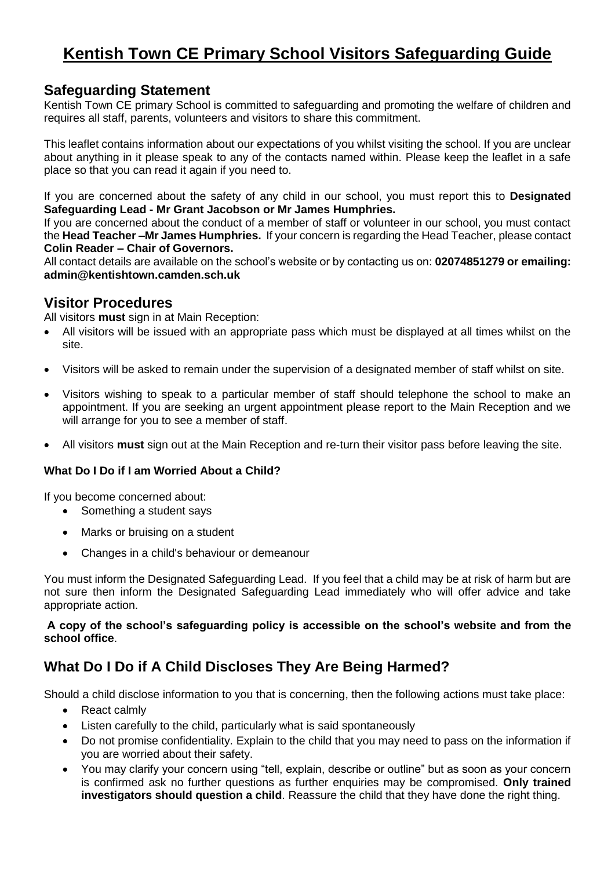# **Kentish Town CE Primary School Visitors Safeguarding Guide**

# **Safeguarding Statement**

Kentish Town CE primary School is committed to safeguarding and promoting the welfare of children and requires all staff, parents, volunteers and visitors to share this commitment.

This leaflet contains information about our expectations of you whilst visiting the school. If you are unclear about anything in it please speak to any of the contacts named within. Please keep the leaflet in a safe place so that you can read it again if you need to.

If you are concerned about the safety of any child in our school, you must report this to **Designated Safeguarding Lead - Mr Grant Jacobson or Mr James Humphries.**

If you are concerned about the conduct of a member of staff or volunteer in our school, you must contact the **Head Teacher –Mr James Humphries.** If your concern is regarding the Head Teacher, please contact **Colin Reader – Chair of Governors.**

All contact details are available on the school's website or by contacting us on: **02074851279 or emailing: admin@kentishtown.camden.sch.uk**

# **Visitor Procedures**

All visitors **must** sign in at Main Reception:

- All visitors will be issued with an appropriate pass which must be displayed at all times whilst on the site.
- Visitors will be asked to remain under the supervision of a designated member of staff whilst on site.
- Visitors wishing to speak to a particular member of staff should telephone the school to make an appointment. If you are seeking an urgent appointment please report to the Main Reception and we will arrange for you to see a member of staff.
- All visitors **must** sign out at the Main Reception and re-turn their visitor pass before leaving the site.

### **What Do I Do if I am Worried About a Child?**

If you become concerned about:

- Something a student says
- Marks or bruising on a student
- Changes in a child's behaviour or demeanour

You must inform the Designated Safeguarding Lead. If you feel that a child may be at risk of harm but are not sure then inform the Designated Safeguarding Lead immediately who will offer advice and take appropriate action.

#### **A copy of the school's safeguarding policy is accessible on the school's website and from the school office**.

# **What Do I Do if A Child Discloses They Are Being Harmed?**

Should a child disclose information to you that is concerning, then the following actions must take place:

- React calmly
- Listen carefully to the child, particularly what is said spontaneously
- Do not promise confidentiality. Explain to the child that you may need to pass on the information if you are worried about their safety.
- You may clarify your concern using "tell, explain, describe or outline" but as soon as your concern is confirmed ask no further questions as further enquiries may be compromised. **Only trained investigators should question a child**. Reassure the child that they have done the right thing.